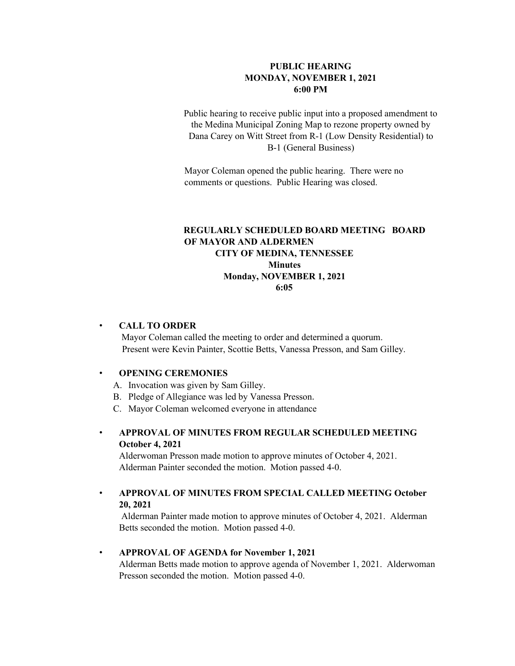### **PUBLIC HEARING MONDAY, NOVEMBER 1, 2021 6:00 PM**

Public hearing to receive public input into a proposed amendment to the Medina Municipal Zoning Map to rezone property owned by Dana Carey on Witt Street from R-1 (Low Density Residential) to B-1 (General Business)

Mayor Coleman opened the public hearing. There were no comments or questions. Public Hearing was closed.

## **REGULARLY SCHEDULED BOARD MEETING BOARD OF MAYOR AND ALDERMEN CITY OF MEDINA, TENNESSEE Minutes Monday, NOVEMBER 1, 2021 6:05**

#### • **CALL TO ORDER**

 Mayor Coleman called the meeting to order and determined a quorum. Present were Kevin Painter, Scottie Betts, Vanessa Presson, and Sam Gilley.

#### • **OPENING CEREMONIES**

A. Invocation was given by Sam Gilley.

- B. Pledge of Allegiance was led by Vanessa Presson.
- C. Mayor Coleman welcomed everyone in attendance
- **APPROVAL OF MINUTES FROM REGULAR SCHEDULED MEETING October 4, 2021**

Alderwoman Presson made motion to approve minutes of October 4, 2021. Alderman Painter seconded the motion. Motion passed 4-0.

### • **APPROVAL OF MINUTES FROM SPECIAL CALLED MEETING October 20, 2021**

Alderman Painter made motion to approve minutes of October 4, 2021. Alderman Betts seconded the motion. Motion passed 4-0.

### • **APPROVAL OF AGENDA for November 1, 2021**

Alderman Betts made motion to approve agenda of November 1, 2021. Alderwoman Presson seconded the motion. Motion passed 4-0.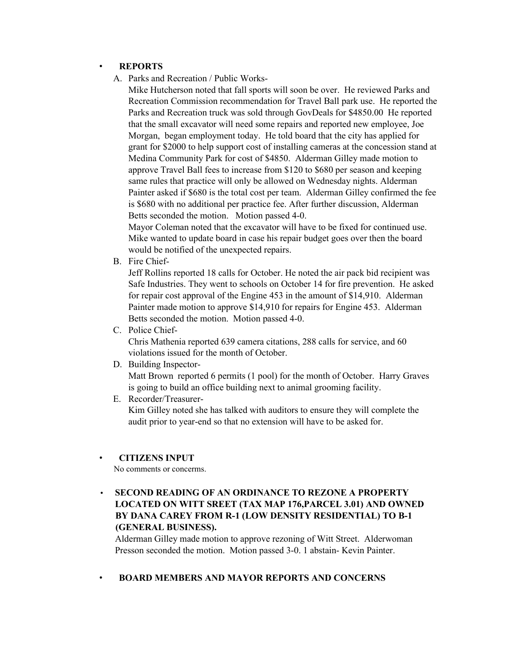#### • **REPORTS**

A. Parks and Recreation / Public Works-

Mike Hutcherson noted that fall sports will soon be over. He reviewed Parks and Recreation Commission recommendation for Travel Ball park use. He reported the Parks and Recreation truck was sold through GovDeals for \$4850.00 He reported that the small excavator will need some repairs and reported new employee, Joe Morgan, began employment today. He told board that the city has applied for grant for \$2000 to help support cost of installing cameras at the concession stand at Medina Community Park for cost of \$4850. Alderman Gilley made motion to approve Travel Ball fees to increase from \$120 to \$680 per season and keeping same rules that practice will only be allowed on Wednesday nights. Alderman Painter asked if \$680 is the total cost per team. Alderman Gilley confirmed the fee is \$680 with no additional per practice fee. After further discussion, Alderman Betts seconded the motion. Motion passed 4-0.

Mayor Coleman noted that the excavator will have to be fixed for continued use. Mike wanted to update board in case his repair budget goes over then the board would be notified of the unexpected repairs.

B. Fire Chief-

Jeff Rollins reported 18 calls for October. He noted the air pack bid recipient was Safe Industries. They went to schools on October 14 for fire prevention. He asked for repair cost approval of the Engine 453 in the amount of \$14,910. Alderman Painter made motion to approve \$14,910 for repairs for Engine 453. Alderman Betts seconded the motion. Motion passed 4-0.

C. Police Chief-

Chris Mathenia reported 639 camera citations, 288 calls for service, and 60 violations issued for the month of October.

D. Building Inspector-

Matt Brown reported 6 permits (1 pool) for the month of October. Harry Graves is going to build an office building next to animal grooming facility.

E. Recorder/Treasurer-Kim Gilley noted she has talked with auditors to ensure they will complete the audit prior to year-end so that no extension will have to be asked for.

#### • **CITIZENS INPUT**

No comments or concerms.

• **SECOND READING OF AN ORDINANCE TO REZONE A PROPERTY LOCATED ON WITT SREET (TAX MAP 176,PARCEL 3.01) AND OWNED BY DANA CAREY FROM R-1 (LOW DENSITY RESIDENTIAL) TO B-1 (GENERAL BUSINESS).**

Alderman Gilley made motion to approve rezoning of Witt Street. Alderwoman Presson seconded the motion. Motion passed 3-0. 1 abstain- Kevin Painter.

### • **BOARD MEMBERS AND MAYOR REPORTS AND CONCERNS**